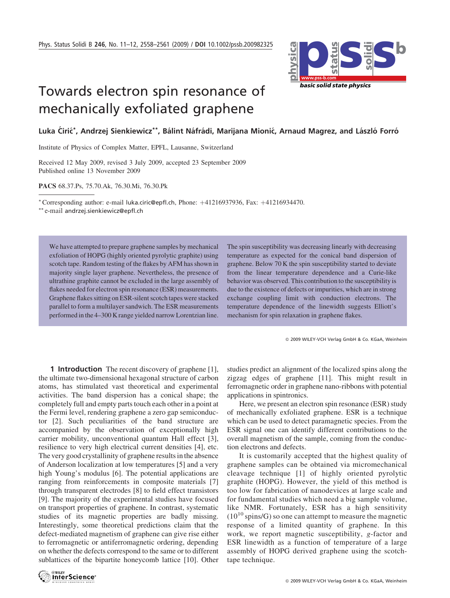

## Towards electron spin resonance of mechanically exfoliated graphene

Luka Ciric<sup>\*</sup>, Andrzej Sienkiewicz<sup>\*\*</sup>, Bálint Náfrádi, Marijana Mionić, Arnaud Magrez, and László Forró

Institute of Physics of Complex Matter, EPFL, Lausanne, Switzerland

Received 12 May 2009, revised 3 July 2009, accepted 23 September 2009 Published online 13 November 2009

PACS 68.37.Ps, 75.70.Ak, 76.30.Mi, 76.30.Pk

\* Corresponding author: e-mail luka.ciric@epfl.ch, Phone: +41216937936, Fax: +41216934470.

\*\* e-mail andrzej.sienkiewicz@epfl.ch

We have attempted to prepare graphene samples by mechanical exfoliation of HOPG (highly oriented pyrolytic graphite) using scotch tape. Random testing of the flakes by AFM has shown in majority single layer graphene. Nevertheless, the presence of ultrathine graphite cannot be excluded in the large assembly of flakes needed for electron spin resonance (ESR) measurements. Graphene flakes sitting on ESR-silent scotch tapes were stacked parallel to form a multilayer sandwich. The ESR measurements performed in the 4–300 K range yielded narrow Lorentzian line. The spin susceptibility was decreasing linearly with decreasing temperature as expected for the conical band dispersion of graphene. Below 70 K the spin susceptibility started to deviate from the linear temperature dependence and a Curie-like behavior was observed. This contribution to the susceptibility is due to the existence of defects or impurities, which are in strong exchange coupling limit with conduction electrons. The temperature dependence of the linewidth suggests Elliott's mechanism for spin relaxation in graphene flakes.

2009 WILEY-VCH Verlag GmbH & Co. KGaA, Weinheim

**1 Introduction** The recent discovery of graphene [1], the ultimate two-dimensional hexagonal structure of carbon atoms, has stimulated vast theoretical and experimental activities. The band dispersion has a conical shape; the completely full and empty parts touch each other in a point at the Fermi level, rendering graphene a zero gap semiconductor [2]. Such peculiarities of the band structure are accompanied by the observation of exceptionally high carrier mobility, unconventional quantum Hall effect [3], resilience to very high electrical current densities [4], etc. The very good crystallinity of graphene results in the absence of Anderson localization at low temperatures [5] and a very high Young's modulus [6]. The potential applications are ranging from reinforcements in composite materials [7] through transparent electrodes [8] to field effect transistors [9]. The majority of the experimental studies have focused on transport properties of graphene. In contrast, systematic studies of its magnetic properties are badly missing. Interestingly, some theoretical predictions claim that the defect-mediated magnetism of graphene can give rise either to ferromagnetic or antiferromagnetic ordering, depending on whether the defects correspond to the same or to different sublattices of the bipartite honeycomb lattice [10]. Other studies predict an alignment of the localized spins along the zigzag edges of graphene [11]. This might result in ferromagnetic order in graphene nano-ribbons with potential applications in spintronics.

Here, we present an electron spin resonance (ESR) study of mechanically exfoliated graphene. ESR is a technique which can be used to detect paramagnetic species. From the ESR signal one can identify different contributions to the overall magnetism of the sample, coming from the conduction electrons and defects.

It is customarily accepted that the highest quality of graphene samples can be obtained via micromechanical cleavage technique [1] of highly oriented pyrolytic graphite (HOPG). However, the yield of this method is too low for fabrication of nanodevices at large scale and for fundamental studies which need a big sample volume, like NMR. Fortunately, ESR has a high sensitivity  $(10^{10}$  spins/G) so one can attempt to measure the magnetic response of a limited quantity of graphene. In this work, we report magnetic susceptibility, g-factor and ESR linewidth as a function of temperature of a large assembly of HOPG derived graphene using the scotchtape technique.

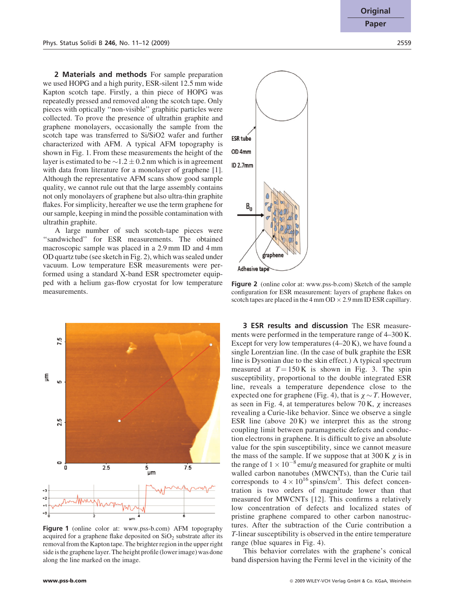2 Materials and methods For sample preparation we used HOPG and a high purity, ESR-silent 12.5 mm wide Kapton scotch tape. Firstly, a thin piece of HOPG was repeatedly pressed and removed along the scotch tape. Only pieces with optically ''non-visible'' graphitic particles were collected. To prove the presence of ultrathin graphite and graphene monolayers, occasionally the sample from the scotch tape was transferred to Si/SiO2 wafer and further characterized with AFM. A typical AFM topography is shown in Fig. 1. From these measurements the height of the layer is estimated to be  ${\sim}1.2$   $\pm$  0.2 nm which is in agreement with data from literature for a monolayer of graphene [1]. Although the representative AFM scans show good sample quality, we cannot rule out that the large assembly contains not only monolayers of graphene but also ultra-thin graphite flakes. For simplicity, hereafter we use the term graphene for our sample, keeping in mind the possible contamination with ultrathin graphite.

A large number of such scotch-tape pieces were "sandwiched" for ESR measurements. The obtained macroscopic sample was placed in a 2.9 mm ID and 4 mm OD quartz tube (see sketch in Fig. 2), which was sealed under vacuum. Low temperature ESR measurements were performed using a standard X-band ESR spectrometer equipped with a helium gas-flow cryostat for low temperature measurements.



Figure 1 (online color at: www.pss-b.com) AFM topography acquired for a graphene flake deposited on  $SiO<sub>2</sub>$  substrate after its removal from the Kapton tape. The brighter region in the upper right side is the graphene layer. The height profile (lower image) was done along the line marked on the image.



Figure 2 (online color at: www.pss-b.com) Sketch of the sample configuration for ESR measurement: layers of graphene flakes on scotch tapes are placed in the 4 mm  $OD \times 2.9$  mm ID ESR capillary.

3 ESR results and discussion The ESR measurements were performed in the temperature range of 4–300 K. Except for very low temperatures (4–20 K), we have found a single Lorentzian line. (In the case of bulk graphite the ESR line is Dysonian due to the skin effect.) A typical spectrum measured at  $T = 150$  K is shown in Fig. 3. The spin susceptibility, proportional to the double integrated ESR line, reveals a temperature dependence close to the expected one for graphene (Fig. 4), that is  $\chi \sim T$ . However, as seen in Fig. 4, at temperatures below 70 K,  $\chi$  increases revealing a Curie-like behavior. Since we observe a single ESR line (above  $20 K$ ) we interpret this as the strong coupling limit between paramagnetic defects and conduction electrons in graphene. It is difficult to give an absolute value for the spin susceptibility, since we cannot measure the mass of the sample. If we suppose that at 300 K  $\chi$  is in the range of  $1 \times 10^{-8}$  emu/g measured for graphite or multi walled carbon nanotubes (MWCNTs), than the Curie tail corresponds to  $4 \times 10^{16}$  spins/cm<sup>3</sup>. This defect concentration is two orders of magnitude lower than that measured for MWCNTs [12]. This confirms a relatively low concentration of defects and localized states of pristine graphene compared to other carbon nanostructures. After the subtraction of the Curie contribution a T-linear susceptibility is observed in the entire temperature range (blue squares in Fig. 4).

This behavior correlates with the graphene's conical band dispersion having the Fermi level in the vicinity of the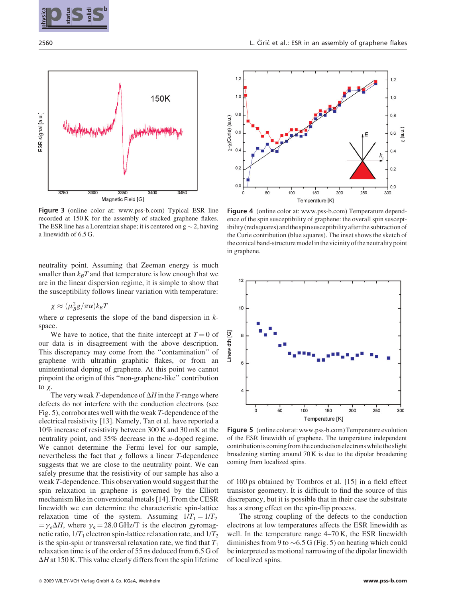



Figure 3 (online color at: www.pss-b.com) Typical ESR line recorded at 150 K for the assembly of stacked graphene flakes. The ESR line has a Lorentzian shape; it is centered on  $g \sim 2$ , having a linewidth of 6.5 G.

neutrality point. Assuming that Zeeman energy is much smaller than  $k_BT$  and that temperature is low enough that we are in the linear dispersion regime, it is simple to show that the susceptibility follows linear variation with temperature:

$$
\chi \approx (\mu_B^2 g / \pi \alpha) k_B T
$$

where  $\alpha$  represents the slope of the band dispersion in  $k$ space.

We have to notice, that the finite intercept at  $T = 0$  of our data is in disagreement with the above description. This discrepancy may come from the ''contamination'' of graphene with ultrathin graphitic flakes, or from an unintentional doping of graphene. At this point we cannot pinpoint the origin of this ''non-graphene-like'' contribution to x.

The very weak T-dependence of  $\Delta H$  in the T-range where defects do not interfere with the conduction electrons (see Fig. 5), corroborates well with the weak T-dependence of the electrical resistivity [13]. Namely, Tan et al. have reported a 10% increase of resistivity between 300 K and 30 mK at the neutrality point, and 35% decrease in the n-doped regime. We cannot determine the Fermi level for our sample, nevertheless the fact that  $\chi$  follows a linear T-dependence suggests that we are close to the neutrality point. We can safely presume that the resistivity of our sample has also a weak T-dependence. This observation would suggest that the spin relaxation in graphene is governed by the Elliott mechanism like in conventional metals [14]. From the CESR linewidth we can determine the characteristic spin-lattice relaxation time of the system. Assuming  $1/T_1 = 1/T_2$  $=\gamma_e\Delta H$ , where  $\gamma_e = 28.0$  GHz/T is the electron gyromagnetic ratio,  $1/T_1$  electron spin-lattice relaxation rate, and  $1/T_2$ is the spin-spin or transversal relaxation rate, we find that  $T_1$ relaxation time is of the order of 55 ns deduced from 6.5 G of  $\Delta H$  at 150 K. This value clearly differs from the spin lifetime



Figure 4 (online color at: www.pss-b.com) Temperature dependence of the spin susceptibility of graphene: the overall spin susceptibility (red squares) and the spin susceptibility after the subtraction of the Curie contribution (blue squares). The inset shows the sketch of theconical band-structuremodelinthe vicinity ofthe neutrality point in graphene.



Figure 5 (online color at: www.pss-b.com) Temperature evolution of the ESR linewidth of graphene. The temperature independent contribution is coming from the conduction electrons while the slight broadening starting around 70 K is due to the dipolar broadening coming from localized spins.

of 100 ps obtained by Tombros et al. [15] in a field effect transistor geometry. It is difficult to find the source of this discrepancy, but it is possible that in their case the substrate has a strong effect on the spin-flip process.

The strong coupling of the defects to the conduction electrons at low temperatures affects the ESR linewidth as well. In the temperature range 4–70 K, the ESR linewidth diminishes from 9 to  $\sim 6.5$  G (Fig. 5) on heating which could be interpreted as motional narrowing of the dipolar linewidth of localized spins.